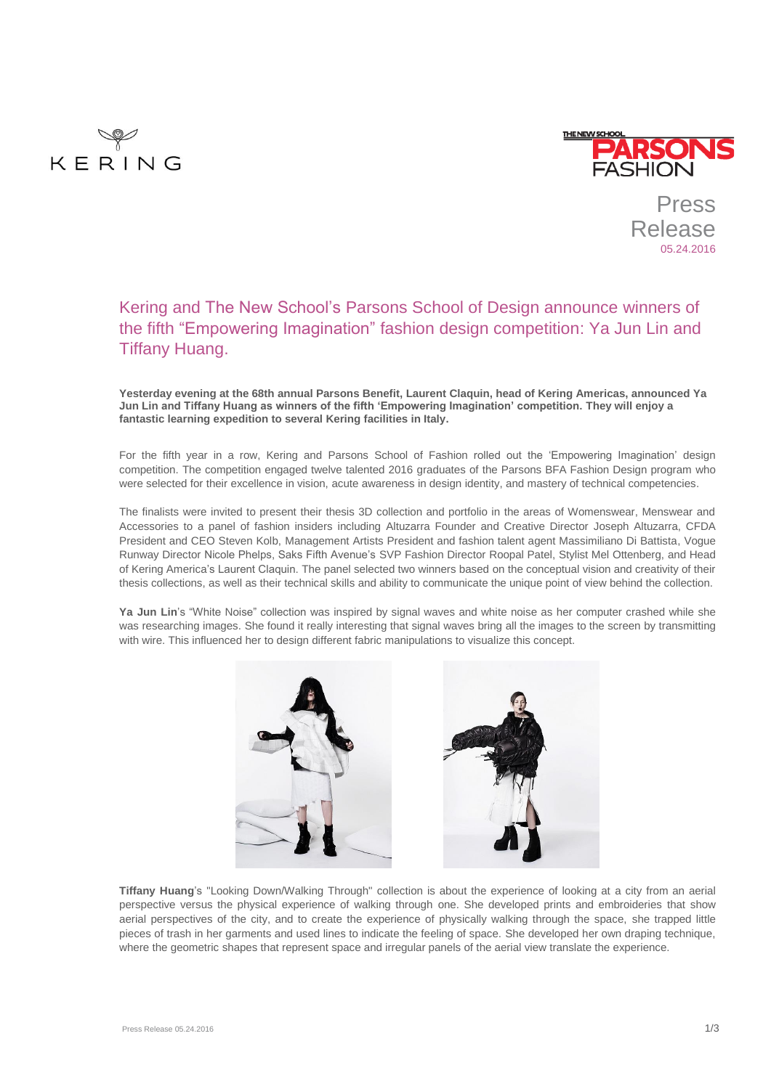



Press Release 05.24.2016

# Kering and The New School's Parsons School of Design announce winners of the fifth "Empowering Imagination" fashion design competition: Ya Jun Lin and Tiffany Huang.

**Yesterday evening at the 68th annual Parsons Benefit, Laurent Claquin, head of Kering Americas, announced Ya Jun Lin and Tiffany Huang as winners of the fifth 'Empowering Imagination' competition. They will enjoy a fantastic learning expedition to several Kering facilities in Italy.**

For the fifth year in a row, Kering and Parsons School of Fashion rolled out the 'Empowering Imagination' design competition. The competition engaged twelve talented 2016 graduates of the Parsons BFA Fashion Design program who were selected for their excellence in vision, acute awareness in design identity, and mastery of technical competencies.

The finalists were invited to present their thesis 3D collection and portfolio in the areas of Womenswear, Menswear and Accessories to a panel of fashion insiders including Altuzarra Founder and Creative Director Joseph Altuzarra, CFDA President and CEO Steven Kolb, Management Artists President and fashion talent agent Massimiliano Di Battista, Vogue Runway Director Nicole Phelps, Saks Fifth Avenue's SVP Fashion Director Roopal Patel, Stylist Mel Ottenberg, and Head of Kering America's Laurent Claquin. The panel selected two winners based on the conceptual vision and creativity of their thesis collections, as well as their technical skills and ability to communicate the unique point of view behind the collection.

**Ya Jun Lin**'s "White Noise" collection was inspired by signal waves and white noise as her computer crashed while she was researching images. She found it really interesting that signal waves bring all the images to the screen by transmitting with wire. This influenced her to design different fabric manipulations to visualize this concept.



**Tiffany Huang**'s "Looking Down/Walking Through" collection is about the experience of looking at a city from an aerial perspective versus the physical experience of walking through one. She developed prints and embroideries that show aerial perspectives of the city, and to create the experience of physically walking through the space, she trapped little pieces of trash in her garments and used lines to indicate the feeling of space. She developed her own draping technique, where the geometric shapes that represent space and irregular panels of the aerial view translate the experience.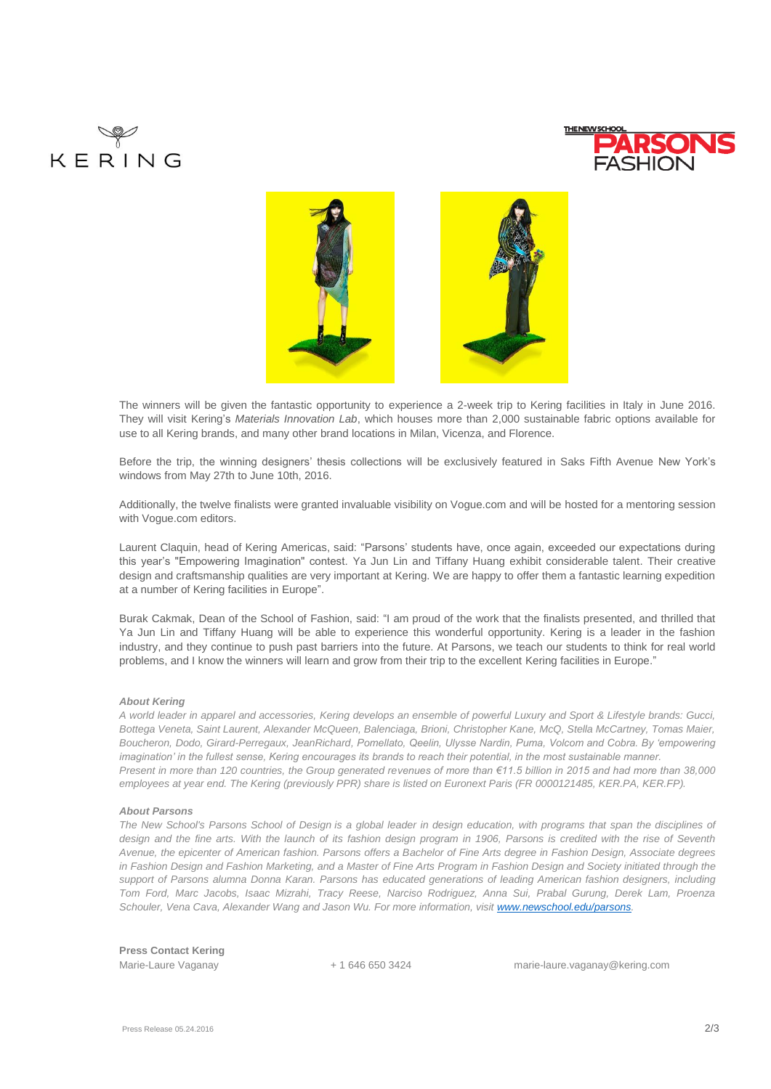





The winners will be given the fantastic opportunity to experience a 2-week trip to Kering facilities in Italy in June 2016. They will visit Kering's *Materials Innovation Lab*, which houses more than 2,000 sustainable fabric options available for use to all Kering brands, and many other brand locations in Milan, Vicenza, and Florence.

Before the trip, the winning designers' thesis collections will be exclusively featured in Saks Fifth Avenue New York's windows from May 27th to June 10th, 2016.

Additionally, the twelve finalists were granted invaluable visibility on Vogue.com and will be hosted for a mentoring session with Vogue.com editors.

Laurent Claquin, head of Kering Americas, said: "Parsons' students have, once again, exceeded our expectations during this year's "Empowering Imagination" contest. Ya Jun Lin and Tiffany Huang exhibit considerable talent. Their creative design and craftsmanship qualities are very important at Kering. We are happy to offer them a fantastic learning expedition at a number of Kering facilities in Europe".

Burak Cakmak, Dean of the School of Fashion, said: "I am proud of the work that the finalists presented, and thrilled that Ya Jun Lin and Tiffany Huang will be able to experience this wonderful opportunity. Kering is a leader in the fashion industry, and they continue to push past barriers into the future. At Parsons, we teach our students to think for real world problems, and I know the winners will learn and grow from their trip to the excellent Kering facilities in Europe."

### *About Kering*

*A world leader in apparel and accessories, Kering develops an ensemble of powerful Luxury and Sport & Lifestyle brands: Gucci, Bottega Veneta, Saint Laurent, Alexander McQueen, Balenciaga, Brioni, Christopher Kane, McQ, Stella McCartney, Tomas Maier, Boucheron, Dodo, Girard-Perregaux, JeanRichard, Pomellato, Qeelin, Ulysse Nardin, Puma, Volcom and Cobra. By 'empowering imagination' in the fullest sense, Kering encourages its brands to reach their potential, in the most sustainable manner. Present in more than 120 countries, the Group generated revenues of more than €11.5 billion in 2015 and had more than 38,000 employees at year end. The Kering (previously PPR) share is listed on Euronext Paris (FR 0000121485, KER.PA, KER.FP).*

#### *About Parsons*

*The New School's Parsons School of Design is a global leader in design education, with programs that span the disciplines of design and the fine arts. With the launch of its fashion design program in 1906, Parsons is credited with the rise of Seventh Avenue, the epicenter of American fashion. Parsons offers a Bachelor of Fine Arts degree in Fashion Design, Associate degrees in Fashion Design and Fashion Marketing, and a Master of Fine Arts Program in Fashion Design and Society initiated through the support of Parsons alumna Donna Karan. Parsons has educated generations of leading American fashion designers, including Tom Ford, Marc Jacobs, Isaac Mizrahi, Tracy Reese, Narciso Rodriguez, Anna Sui, Prabal Gurung, Derek Lam, Proenza Schouler, Vena Cava, Alexander Wang and Jason Wu. For more information, visit [www.newschool.edu/parsons.](http://www.newschool.edu/parsons)*

**Press Contact Kering** 

Marie-Laure Vaganay + 1 646 650 3424 marie-laure.vaganay@kering.com